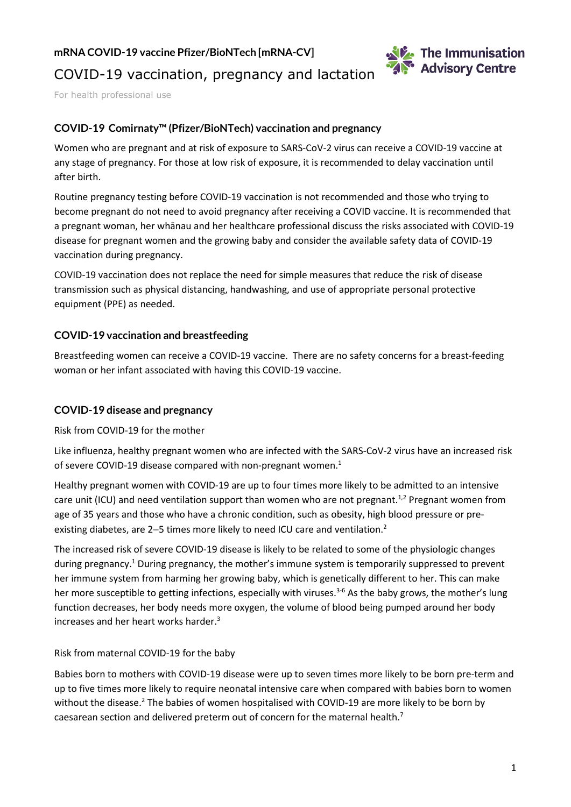**mRNA COVID-19 vaccine Pfizer/BioNTech [mRNA-CV]**



# COVID-19 vaccination, pregnancy and lactation

For health professional use

# **COVID-19 Comirnaty™ (Pfizer/BioNTech) vaccination and pregnancy**

Women who are pregnant and at risk of exposure to SARS-CoV-2 virus can receive a COVID-19 vaccine at any stage of pregnancy. For those at low risk of exposure, it is recommended to delay vaccination until after birth.

Routine pregnancy testing before COVID-19 vaccination is not recommended and those who trying to become pregnant do not need to avoid pregnancy after receiving a COVID vaccine. It is recommended that a pregnant woman, her whānau and her healthcare professional discuss the risks associated with COVID-19 disease for pregnant women and the growing baby and consider the available safety data of COVID-19 vaccination during pregnancy.

COVID-19 vaccination does not replace the need for simple measures that reduce the risk of disease transmission such as physical distancing, handwashing, and use of appropriate personal protective equipment (PPE) as needed.

### **COVID-19 vaccination and breastfeeding**

Breastfeeding women can receive a COVID-19 vaccine. There are no safety concerns for a breast-feeding woman or her infant associated with having this COVID-19 vaccine.

#### **COVID-19 disease and pregnancy**

Risk from COVID-19 for the mother

Like influenza, healthy pregnant women who are infected with the SARS-CoV-2 virus have an increased risk of severe COVID-19 disease compared with non-pregnant women.<sup>1</sup>

Healthy pregnant women with COVID-19 are up to four times more likely to be admitted to an intensive care unit (ICU) and need ventilation support than women who are not pregnant.<sup>1,2</sup> Pregnant women from age of 35 years and those who have a chronic condition, such as obesity, high blood pressure or preexisting diabetes, are 2-5 times more likely to need ICU care and ventilation.<sup>2</sup>

The increased risk of severe COVID-19 disease is likely to be related to some of the physiologic changes during pregnancy.<sup>1</sup> During pregnancy, the mother's immune system is temporarily suppressed to prevent her immune system from harming her growing baby, which is genetically different to her. This can make her more susceptible to getting infections, especially with viruses.<sup>3-6</sup> As the baby grows, the mother's lung function decreases, her body needs more oxygen, the volume of blood being pumped around her body increases and her heart works harder. $3$ 

#### Risk from maternal COVID-19 for the baby

Babies born to mothers with COVID-19 disease were up to seven times more likely to be born pre-term and up to five times more likely to require neonatal intensive care when compared with babies born to women without the disease.<sup>2</sup> The babies of women hospitalised with COVID-19 are more likely to be born by caesarean section and delivered preterm out of concern for the maternal health.<sup>7</sup>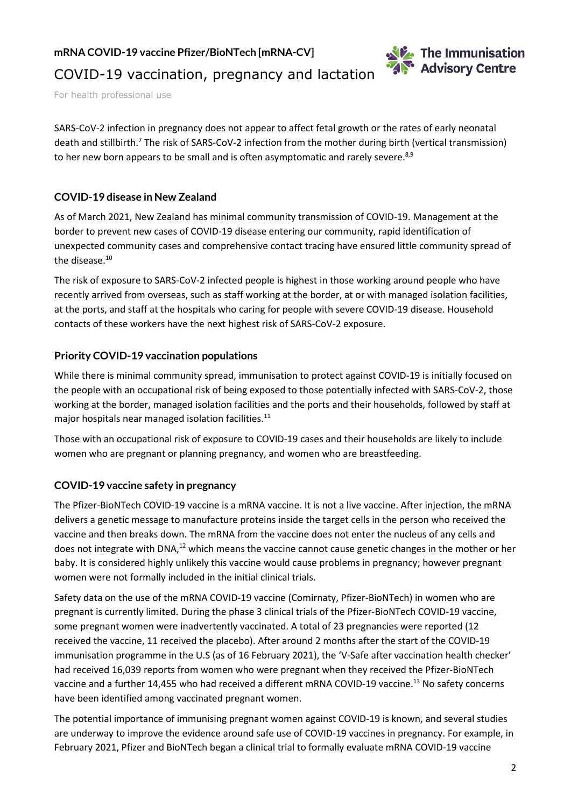**mRNA COVID-19 vaccine Pfizer/BioNTech [mRNA-CV]**



For health professional use

SARS-CoV-2 infection in pregnancy does not appear to affect fetal growth or the rates of early neonatal death and stillbirth.7 The risk of SARS-CoV-2 infection from the mother during birth (vertical transmission) to her new born appears to be small and is often asymptomatic and rarely severe.<sup>8,9</sup>

## **COVID-19 disease in New Zealand**

As of March 2021, New Zealand has minimal community transmission of COVID-19. Management at the border to prevent new cases of COVID-19 disease entering our community, rapid identification of unexpected community cases and comprehensive contact tracing have ensured little community spread of the disease.<sup>10</sup>

The risk of exposure to SARS-CoV-2 infected people is highest in those working around people who have recently arrived from overseas, such as staff working at the border, at or with managed isolation facilities, at the ports, and staff at the hospitals who caring for people with severe COVID-19 disease. Household contacts of these workers have the next highest risk of SARS-CoV-2 exposure.

### **Priority COVID-19 vaccination populations**

While there is minimal community spread, immunisation to protect against COVID-19 is initially focused on the people with an occupational risk of being exposed to those potentially infected with SARS-CoV-2, those working at the border, managed isolation facilities and the ports and their households, followed by staff at major hospitals near managed isolation facilities.<sup>11</sup>

Those with an occupational risk of exposure to COVID-19 cases and their households are likely to include women who are pregnant or planning pregnancy, and women who are breastfeeding.

#### **COVID-19 vaccine safety in pregnancy**

The Pfizer-BioNTech COVID-19 vaccine is a mRNA vaccine. It is not a live vaccine. After injection, the mRNA delivers a genetic message to manufacture proteins inside the target cells in the person who received the vaccine and then breaks down. The mRNA from the vaccine does not enter the nucleus of any cells and does not integrate with DNA,<sup>12</sup> which means the vaccine cannot cause genetic changes in the mother or her baby. It is considered highly unlikely this vaccine would cause problems in pregnancy; however pregnant women were not formally included in the initial clinical trials.

Safety data on the use of the mRNA COVID-19 vaccine (Comirnaty, Pfizer-BioNTech) in women who are pregnant is currently limited. During the phase 3 clinical trials of the Pfizer-BioNTech COVID-19 vaccine, some pregnant women were inadvertently vaccinated. A total of 23 pregnancies were reported (12 received the vaccine, 11 received the placebo). After around 2 months after the start of the COVID-19 immunisation programme in the U.S (as of 16 February 2021), the 'V-Safe after vaccination health checker' had received 16,039 reports from women who were pregnant when they received the Pfizer-BioNTech vaccine and a further 14,455 who had received a different mRNA COVID-19 vaccine.<sup>13</sup> No safety concerns have been identified among vaccinated pregnant women.

The potential importance of immunising pregnant women against COVID-19 is known, and several studies are underway to improve the evidence around safe use of COVID-19 vaccines in pregnancy. For example, in February 2021, Pfizer and BioNTech began a clinical trial to formally evaluate mRNA COVID-19 vaccine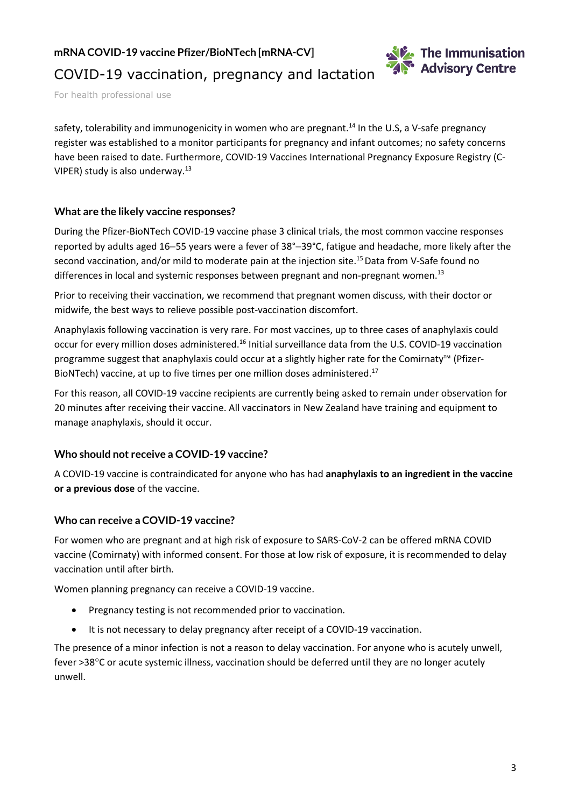**mRNA COVID-19 vaccine Pfizer/BioNTech [mRNA-CV]**



# COVID-19 vaccination, pregnancy and lactation

For health professional use

safety, tolerability and immunogenicity in women who are pregnant.<sup>14</sup> In the U.S, a V-safe pregnancy register was established to a monitor participants for pregnancy and infant outcomes; no safety concerns have been raised to date. Furthermore, COVID-19 Vaccines International Pregnancy Exposure Registry (C-VIPER) study is also underway.13

### **What are the likely vaccine responses?**

During the Pfizer-BioNTech COVID-19 vaccine phase 3 clinical trials, the most common vaccine responses reported by adults aged 16−55 years were a fever of 38°−39°C, fatigue and headache, more likely after the second vaccination, and/or mild to moderate pain at the injection site.<sup>15</sup> Data from V-Safe found no differences in local and systemic responses between pregnant and non-pregnant women.<sup>13</sup>

Prior to receiving their vaccination, we recommend that pregnant women discuss, with their doctor or midwife, the best ways to relieve possible post-vaccination discomfort.

Anaphylaxis following vaccination is very rare. For most vaccines, up to three cases of anaphylaxis could occur for every million doses administered.16 Initial surveillance data from the U.S. COVID-19 vaccination programme suggest that anaphylaxis could occur at a slightly higher rate for the Comirnaty™ (Pfizer-BioNTech) vaccine, at up to five times per one million doses administered.<sup>17</sup>

For this reason, all COVID-19 vaccine recipients are currently being asked to remain under observation for 20 minutes after receiving their vaccine. All vaccinators in New Zealand have training and equipment to manage anaphylaxis, should it occur.

## **Who should not receive a COVID-19 vaccine?**

A COVID-19 vaccine is contraindicated for anyone who has had **anaphylaxis to an ingredient in the vaccine or a previous dose** of the vaccine.

## **Who can receive a COVID-19 vaccine?**

For women who are pregnant and at high risk of exposure to SARS-CoV-2 can be offered mRNA COVID vaccine (Comirnaty) with informed consent. For those at low risk of exposure, it is recommended to delay vaccination until after birth.

Women planning pregnancy can receive a COVID-19 vaccine.

- Pregnancy testing is not recommended prior to vaccination.
- It is not necessary to delay pregnancy after receipt of a COVID-19 vaccination.

The presence of a minor infection is not a reason to delay vaccination. For anyone who is acutely unwell, fever >38°C or acute systemic illness, vaccination should be deferred until they are no longer acutely unwell.